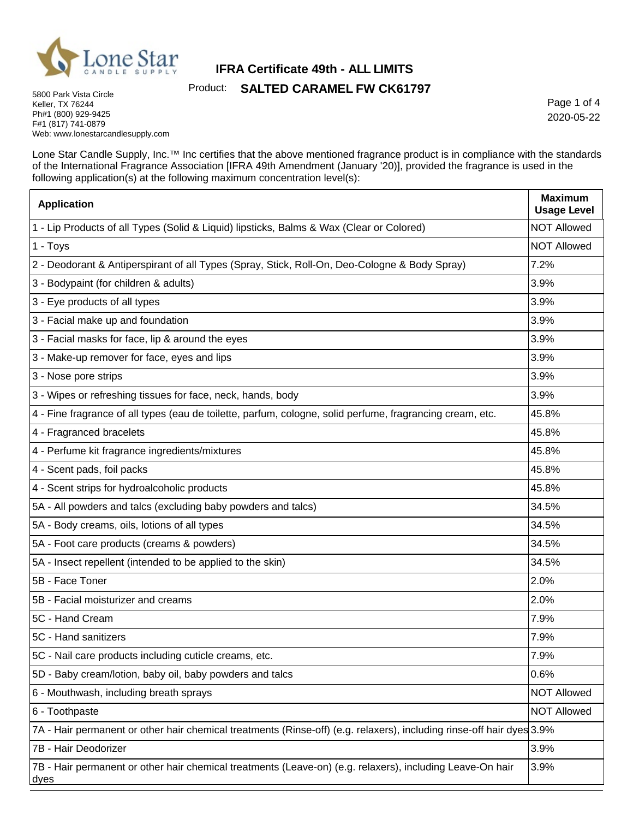

# **IFRA Certificate 49th - ALL LIMITS**

#### Product: **SALTED CARAMEL FW CK61797**

Page 1 of 4 2020-05-22

┯

h

5800 Park Vista Circle Keller, TX 76244 Ph#1 (800) 929-9425 F#1 (817) 741-0879 Web: www.lonestarcandlesupply.com

Ē

Lone Star Candle Supply, Inc.™ Inc certifies that the above mentioned fragrance product is in compliance with the standards of the International Fragrance Association [IFRA 49th Amendment (January '20)], provided the fragrance is used in the following application(s) at the following maximum concentration level(s):

| <b>Application</b>                                                                                                    | <b>Maximum</b><br><b>Usage Level</b> |
|-----------------------------------------------------------------------------------------------------------------------|--------------------------------------|
| 1 - Lip Products of all Types (Solid & Liquid) lipsticks, Balms & Wax (Clear or Colored)                              | <b>NOT Allowed</b>                   |
| 1 - Toys                                                                                                              | <b>NOT Allowed</b>                   |
| 2 - Deodorant & Antiperspirant of all Types (Spray, Stick, Roll-On, Deo-Cologne & Body Spray)                         | 7.2%                                 |
| 3 - Bodypaint (for children & adults)                                                                                 | 3.9%                                 |
| 3 - Eye products of all types                                                                                         | 3.9%                                 |
| 3 - Facial make up and foundation                                                                                     | 3.9%                                 |
| 3 - Facial masks for face, lip & around the eyes                                                                      | 3.9%                                 |
| 3 - Make-up remover for face, eyes and lips                                                                           | 3.9%                                 |
| 3 - Nose pore strips                                                                                                  | 3.9%                                 |
| 3 - Wipes or refreshing tissues for face, neck, hands, body                                                           | 3.9%                                 |
| 4 - Fine fragrance of all types (eau de toilette, parfum, cologne, solid perfume, fragrancing cream, etc.             | 45.8%                                |
| 4 - Fragranced bracelets                                                                                              | 45.8%                                |
| 4 - Perfume kit fragrance ingredients/mixtures                                                                        | 45.8%                                |
| 4 - Scent pads, foil packs                                                                                            | 45.8%                                |
| 4 - Scent strips for hydroalcoholic products                                                                          | 45.8%                                |
| 5A - All powders and talcs (excluding baby powders and talcs)                                                         | 34.5%                                |
| 5A - Body creams, oils, lotions of all types                                                                          | 34.5%                                |
| 5A - Foot care products (creams & powders)                                                                            | 34.5%                                |
| 5A - Insect repellent (intended to be applied to the skin)                                                            | 34.5%                                |
| 5B - Face Toner                                                                                                       | 2.0%                                 |
| 5B - Facial moisturizer and creams                                                                                    | 2.0%                                 |
| 5C - Hand Cream                                                                                                       | 7.9%                                 |
| 5C - Hand sanitizers                                                                                                  | 7.9%                                 |
| 5C - Nail care products including cuticle creams, etc.                                                                | 7.9%                                 |
| 5D - Baby cream/lotion, baby oil, baby powders and talcs                                                              | 0.6%                                 |
| 6 - Mouthwash, including breath sprays                                                                                | <b>NOT Allowed</b>                   |
| 6 - Toothpaste                                                                                                        | <b>NOT Allowed</b>                   |
| 7A - Hair permanent or other hair chemical treatments (Rinse-off) (e.g. relaxers), including rinse-off hair dyes 3.9% |                                      |
| 7B - Hair Deodorizer                                                                                                  | 3.9%                                 |
| 7B - Hair permanent or other hair chemical treatments (Leave-on) (e.g. relaxers), including Leave-On hair<br>dyes     | 3.9%                                 |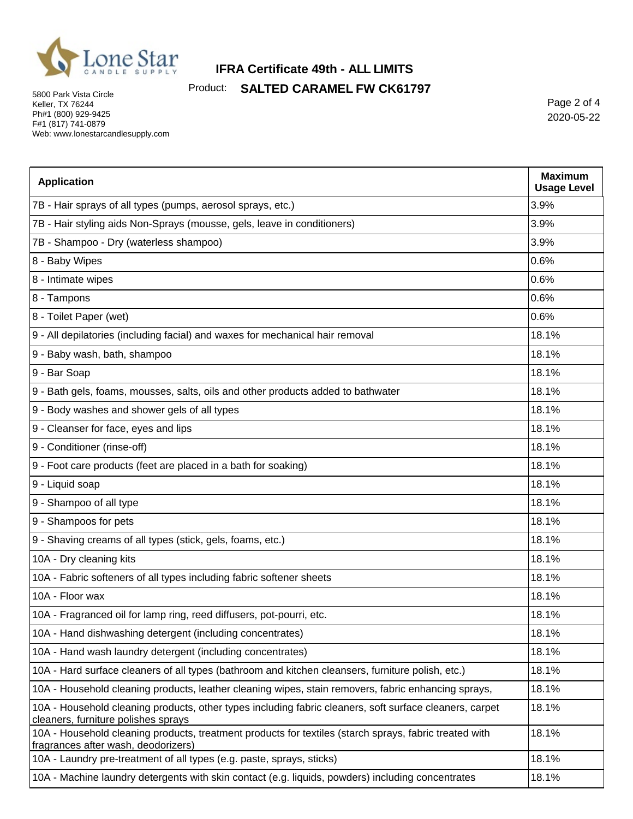

# Product: **SALTED CARAMEL FW CK61797 IFRA Certificate 49th - ALL LIMITS**

5800 Park Vista Circle Keller, TX 76244 Ph#1 (800) 929-9425 F#1 (817) 741-0879 Web: www.lonestarcandlesupply.com

Page 2 of 4 2020-05-22

| <b>Application</b>                                                                                                                             | <b>Maximum</b><br><b>Usage Level</b> |
|------------------------------------------------------------------------------------------------------------------------------------------------|--------------------------------------|
| 7B - Hair sprays of all types (pumps, aerosol sprays, etc.)                                                                                    | 3.9%                                 |
| 7B - Hair styling aids Non-Sprays (mousse, gels, leave in conditioners)                                                                        | 3.9%                                 |
| 7B - Shampoo - Dry (waterless shampoo)                                                                                                         | 3.9%                                 |
| 8 - Baby Wipes                                                                                                                                 | 0.6%                                 |
| 8 - Intimate wipes                                                                                                                             | 0.6%                                 |
| 8 - Tampons                                                                                                                                    | 0.6%                                 |
| 8 - Toilet Paper (wet)                                                                                                                         | 0.6%                                 |
| 9 - All depilatories (including facial) and waxes for mechanical hair removal                                                                  | 18.1%                                |
| 9 - Baby wash, bath, shampoo                                                                                                                   | 18.1%                                |
| 9 - Bar Soap                                                                                                                                   | 18.1%                                |
| 9 - Bath gels, foams, mousses, salts, oils and other products added to bathwater                                                               | 18.1%                                |
| 9 - Body washes and shower gels of all types                                                                                                   | 18.1%                                |
| 9 - Cleanser for face, eyes and lips                                                                                                           | 18.1%                                |
| 9 - Conditioner (rinse-off)                                                                                                                    | 18.1%                                |
| 9 - Foot care products (feet are placed in a bath for soaking)                                                                                 | 18.1%                                |
| 9 - Liquid soap                                                                                                                                | 18.1%                                |
| 9 - Shampoo of all type                                                                                                                        | 18.1%                                |
| 9 - Shampoos for pets                                                                                                                          | 18.1%                                |
| 9 - Shaving creams of all types (stick, gels, foams, etc.)                                                                                     | 18.1%                                |
| 10A - Dry cleaning kits                                                                                                                        | 18.1%                                |
| 10A - Fabric softeners of all types including fabric softener sheets                                                                           | 18.1%                                |
| 10A - Floor wax                                                                                                                                | 18.1%                                |
| 10A - Fragranced oil for lamp ring, reed diffusers, pot-pourri, etc.                                                                           | 18.1%                                |
| 10A - Hand dishwashing detergent (including concentrates)                                                                                      | 18.1%                                |
| 10A - Hand wash laundry detergent (including concentrates)                                                                                     | 18.1%                                |
| 10A - Hard surface cleaners of all types (bathroom and kitchen cleansers, furniture polish, etc.)                                              | 18.1%                                |
| 10A - Household cleaning products, leather cleaning wipes, stain removers, fabric enhancing sprays,                                            | 18.1%                                |
| 10A - Household cleaning products, other types including fabric cleaners, soft surface cleaners, carpet<br>cleaners, furniture polishes sprays | 18.1%                                |
| 10A - Household cleaning products, treatment products for textiles (starch sprays, fabric treated with<br>fragrances after wash, deodorizers)  | 18.1%                                |
| 10A - Laundry pre-treatment of all types (e.g. paste, sprays, sticks)                                                                          | 18.1%                                |
| 10A - Machine laundry detergents with skin contact (e.g. liquids, powders) including concentrates                                              | 18.1%                                |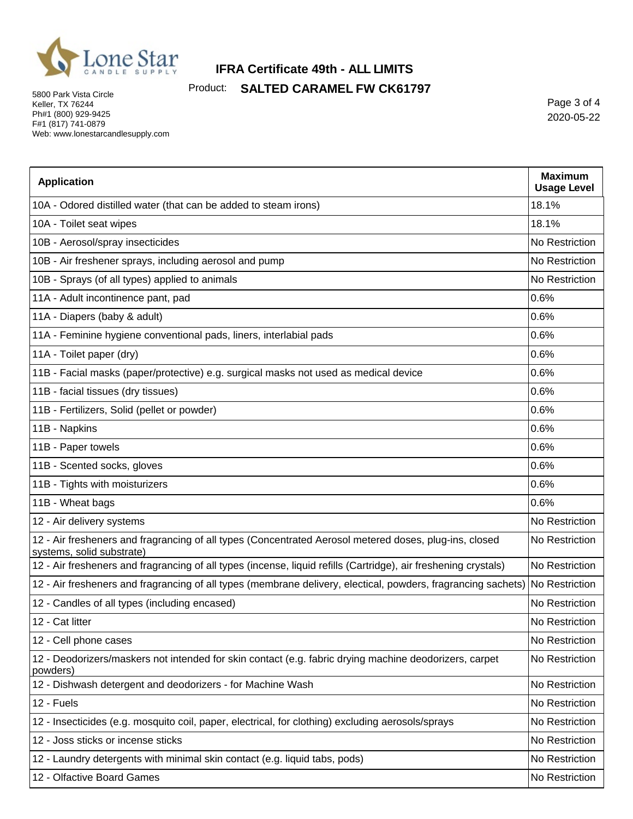

# Product: **SALTED CARAMEL FW CK61797 IFRA Certificate 49th - ALL LIMITS**

5800 Park Vista Circle Keller, TX 76244 Ph#1 (800) 929-9425 F#1 (817) 741-0879 Web: www.lonestarcandlesupply.com

Page 3 of 4 2020-05-22

| <b>Application</b>                                                                                                                  | <b>Maximum</b><br><b>Usage Level</b> |
|-------------------------------------------------------------------------------------------------------------------------------------|--------------------------------------|
| 10A - Odored distilled water (that can be added to steam irons)                                                                     | 18.1%                                |
| 10A - Toilet seat wipes                                                                                                             | 18.1%                                |
| 10B - Aerosol/spray insecticides                                                                                                    | No Restriction                       |
| 10B - Air freshener sprays, including aerosol and pump                                                                              | No Restriction                       |
| 10B - Sprays (of all types) applied to animals                                                                                      | No Restriction                       |
| 11A - Adult incontinence pant, pad                                                                                                  | 0.6%                                 |
| 11A - Diapers (baby & adult)                                                                                                        | 0.6%                                 |
| 11A - Feminine hygiene conventional pads, liners, interlabial pads                                                                  | 0.6%                                 |
| 11A - Toilet paper (dry)                                                                                                            | 0.6%                                 |
| 11B - Facial masks (paper/protective) e.g. surgical masks not used as medical device                                                | 0.6%                                 |
| 11B - facial tissues (dry tissues)                                                                                                  | 0.6%                                 |
| 11B - Fertilizers, Solid (pellet or powder)                                                                                         | 0.6%                                 |
| 11B - Napkins                                                                                                                       | 0.6%                                 |
| 11B - Paper towels                                                                                                                  | 0.6%                                 |
| 11B - Scented socks, gloves                                                                                                         | 0.6%                                 |
| 11B - Tights with moisturizers                                                                                                      | 0.6%                                 |
| 11B - Wheat bags                                                                                                                    | 0.6%                                 |
| 12 - Air delivery systems                                                                                                           | No Restriction                       |
| 12 - Air fresheners and fragrancing of all types (Concentrated Aerosol metered doses, plug-ins, closed<br>systems, solid substrate) | No Restriction                       |
| 12 - Air fresheners and fragrancing of all types (incense, liquid refills (Cartridge), air freshening crystals)                     | No Restriction                       |
| 12 - Air fresheners and fragrancing of all types (membrane delivery, electical, powders, fragrancing sachets) No Restriction        |                                      |
| 12 - Candles of all types (including encased)                                                                                       | No Restriction                       |
| 12 - Cat litter                                                                                                                     | No Restriction                       |
| 12 - Cell phone cases                                                                                                               | No Restriction                       |
| 12 - Deodorizers/maskers not intended for skin contact (e.g. fabric drying machine deodorizers, carpet<br>powders)                  | No Restriction                       |
| 12 - Dishwash detergent and deodorizers - for Machine Wash                                                                          | No Restriction                       |
| 12 - Fuels                                                                                                                          | No Restriction                       |
| 12 - Insecticides (e.g. mosquito coil, paper, electrical, for clothing) excluding aerosols/sprays                                   | No Restriction                       |
| 12 - Joss sticks or incense sticks                                                                                                  | No Restriction                       |
| 12 - Laundry detergents with minimal skin contact (e.g. liquid tabs, pods)                                                          | No Restriction                       |
| 12 - Olfactive Board Games                                                                                                          | No Restriction                       |